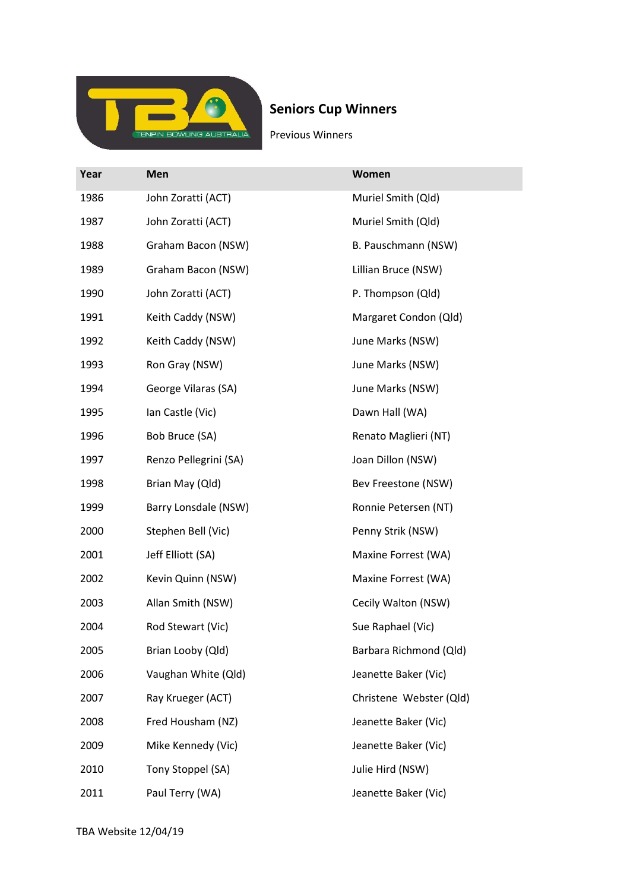

## Seniors Cup Winners

Previous Winners

| Year | Men                   | Women                   |
|------|-----------------------|-------------------------|
| 1986 | John Zoratti (ACT)    | Muriel Smith (Qld)      |
| 1987 | John Zoratti (ACT)    | Muriel Smith (Qld)      |
| 1988 | Graham Bacon (NSW)    | B. Pauschmann (NSW)     |
| 1989 | Graham Bacon (NSW)    | Lillian Bruce (NSW)     |
| 1990 | John Zoratti (ACT)    | P. Thompson (Qld)       |
| 1991 | Keith Caddy (NSW)     | Margaret Condon (Qld)   |
| 1992 | Keith Caddy (NSW)     | June Marks (NSW)        |
| 1993 | Ron Gray (NSW)        | June Marks (NSW)        |
| 1994 | George Vilaras (SA)   | June Marks (NSW)        |
| 1995 | Ian Castle (Vic)      | Dawn Hall (WA)          |
| 1996 | Bob Bruce (SA)        | Renato Maglieri (NT)    |
| 1997 | Renzo Pellegrini (SA) | Joan Dillon (NSW)       |
| 1998 | Brian May (Qld)       | Bev Freestone (NSW)     |
| 1999 | Barry Lonsdale (NSW)  | Ronnie Petersen (NT)    |
| 2000 | Stephen Bell (Vic)    | Penny Strik (NSW)       |
| 2001 | Jeff Elliott (SA)     | Maxine Forrest (WA)     |
| 2002 | Kevin Quinn (NSW)     | Maxine Forrest (WA)     |
| 2003 | Allan Smith (NSW)     | Cecily Walton (NSW)     |
| 2004 | Rod Stewart (Vic)     | Sue Raphael (Vic)       |
| 2005 | Brian Looby (Qld)     | Barbara Richmond (Qld)  |
| 2006 | Vaughan White (Qld)   | Jeanette Baker (Vic)    |
| 2007 | Ray Krueger (ACT)     | Christene Webster (Qld) |
| 2008 | Fred Housham (NZ)     | Jeanette Baker (Vic)    |
| 2009 | Mike Kennedy (Vic)    | Jeanette Baker (Vic)    |
| 2010 | Tony Stoppel (SA)     | Julie Hird (NSW)        |
| 2011 | Paul Terry (WA)       | Jeanette Baker (Vic)    |